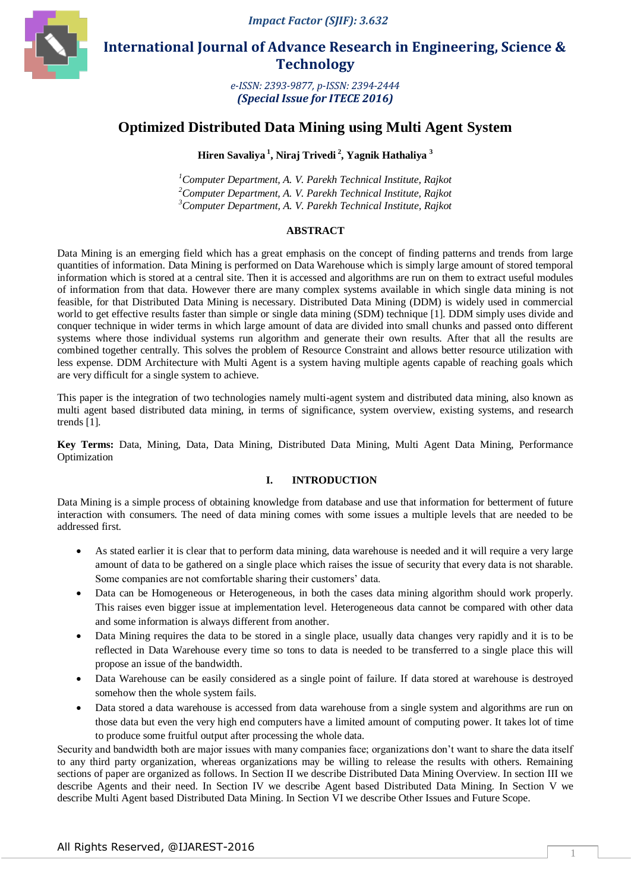*Impact Factor (SJIF): 3.632*



 **International Journal of Advance Research in Engineering, Science & Technology** 

> *e-ISSN: 2393-9877, p-ISSN: 2394-2444 (Special Issue for ITECE 2016)*

# **Optimized Distributed Data Mining using Multi Agent System**

**Hiren Savaliya <sup>1</sup> , Niraj Trivedi <sup>2</sup> , Yagnik Hathaliya <sup>3</sup>**

*<sup>1</sup>Computer Department, A. V. Parekh Technical Institute, Rajkot <sup>2</sup>Computer Department, A. V. Parekh Technical Institute, Rajkot <sup>3</sup>Computer Department, A. V. Parekh Technical Institute, Rajkot*

#### **ABSTRACT**

Data Mining is an emerging field which has a great emphasis on the concept of finding patterns and trends from large quantities of information. Data Mining is performed on Data Warehouse which is simply large amount of stored temporal information which is stored at a central site. Then it is accessed and algorithms are run on them to extract useful modules of information from that data. However there are many complex systems available in which single data mining is not feasible, for that Distributed Data Mining is necessary. Distributed Data Mining (DDM) is widely used in commercial world to get effective results faster than simple or single data mining (SDM) technique [1]. DDM simply uses divide and conquer technique in wider terms in which large amount of data are divided into small chunks and passed onto different systems where those individual systems run algorithm and generate their own results. After that all the results are combined together centrally. This solves the problem of Resource Constraint and allows better resource utilization with less expense. DDM Architecture with Multi Agent is a system having multiple agents capable of reaching goals which are very difficult for a single system to achieve.

This paper is the integration of two technologies namely multi-agent system and distributed data mining, also known as multi agent based distributed data mining, in terms of significance, system overview, existing systems, and research trends [1].

**Key Terms:** Data, Mining, Data, Data Mining, Distributed Data Mining, Multi Agent Data Mining, Performance Optimization

## **I. INTRODUCTION**

Data Mining is a simple process of obtaining knowledge from database and use that information for betterment of future interaction with consumers. The need of data mining comes with some issues a multiple levels that are needed to be addressed first.

- As stated earlier it is clear that to perform data mining, data warehouse is needed and it will require a very large amount of data to be gathered on a single place which raises the issue of security that every data is not sharable. Some companies are not comfortable sharing their customers' data.
- Data can be Homogeneous or Heterogeneous, in both the cases data mining algorithm should work properly. This raises even bigger issue at implementation level. Heterogeneous data cannot be compared with other data and some information is always different from another.
- Data Mining requires the data to be stored in a single place, usually data changes very rapidly and it is to be reflected in Data Warehouse every time so tons to data is needed to be transferred to a single place this will propose an issue of the bandwidth.
- Data Warehouse can be easily considered as a single point of failure. If data stored at warehouse is destroyed somehow then the whole system fails.
- Data stored a data warehouse is accessed from data warehouse from a single system and algorithms are run on those data but even the very high end computers have a limited amount of computing power. It takes lot of time to produce some fruitful output after processing the whole data.

Security and bandwidth both are major issues with many companies face; organizations don't want to share the data itself to any third party organization, whereas organizations may be willing to release the results with others. Remaining sections of paper are organized as follows. In Section II we describe Distributed Data Mining Overview. In section III we describe Agents and their need. In Section IV we describe Agent based Distributed Data Mining. In Section V we describe Multi Agent based Distributed Data Mining. In Section VI we describe Other Issues and Future Scope.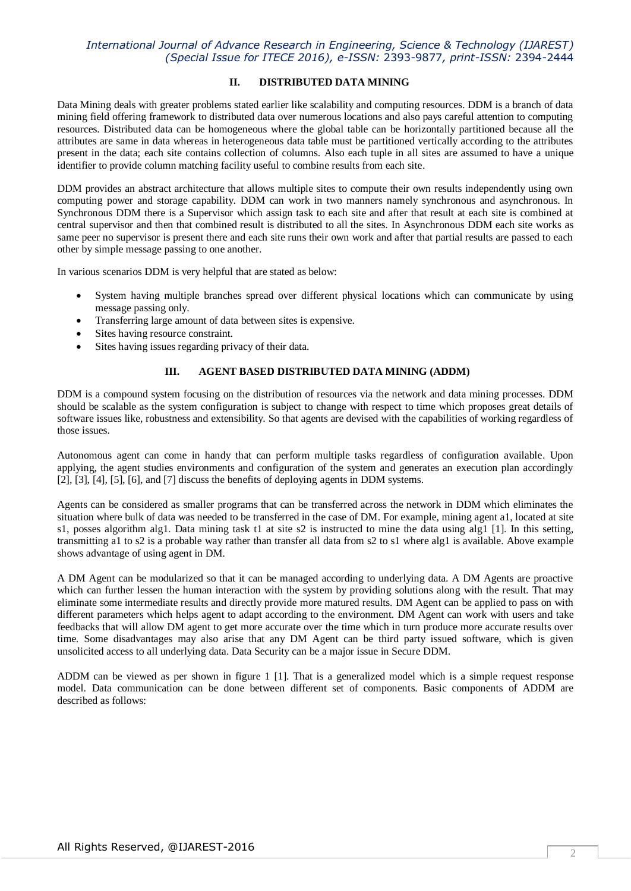#### **II. DISTRIBUTED DATA MINING**

Data Mining deals with greater problems stated earlier like scalability and computing resources. DDM is a branch of data mining field offering framework to distributed data over numerous locations and also pays careful attention to computing resources. Distributed data can be homogeneous where the global table can be horizontally partitioned because all the attributes are same in data whereas in heterogeneous data table must be partitioned vertically according to the attributes present in the data; each site contains collection of columns. Also each tuple in all sites are assumed to have a unique identifier to provide column matching facility useful to combine results from each site.

DDM provides an abstract architecture that allows multiple sites to compute their own results independently using own computing power and storage capability. DDM can work in two manners namely synchronous and asynchronous. In Synchronous DDM there is a Supervisor which assign task to each site and after that result at each site is combined at central supervisor and then that combined result is distributed to all the sites. In Asynchronous DDM each site works as same peer no supervisor is present there and each site runs their own work and after that partial results are passed to each other by simple message passing to one another.

In various scenarios DDM is very helpful that are stated as below:

- System having multiple branches spread over different physical locations which can communicate by using message passing only.
- Transferring large amount of data between sites is expensive.
- Sites having resource constraint.
- Sites having issues regarding privacy of their data.

#### **III. AGENT BASED DISTRIBUTED DATA MINING (ADDM)**

DDM is a compound system focusing on the distribution of resources via the network and data mining processes. DDM should be scalable as the system configuration is subject to change with respect to time which proposes great details of software issues like, robustness and extensibility. So that agents are devised with the capabilities of working regardless of those issues.

Autonomous agent can come in handy that can perform multiple tasks regardless of configuration available. Upon applying, the agent studies environments and configuration of the system and generates an execution plan accordingly [2], [3], [4], [5], [6], and [7] discuss the benefits of deploying agents in DDM systems.

Agents can be considered as smaller programs that can be transferred across the network in DDM which eliminates the situation where bulk of data was needed to be transferred in the case of DM. For example, mining agent a1, located at site s1, posses algorithm alg1. Data mining task t1 at site s2 is instructed to mine the data using alg1 [1]. In this setting, transmitting a1 to s2 is a probable way rather than transfer all data from s2 to s1 where alg1 is available. Above example shows advantage of using agent in DM.

A DM Agent can be modularized so that it can be managed according to underlying data. A DM Agents are proactive which can further lessen the human interaction with the system by providing solutions along with the result. That may eliminate some intermediate results and directly provide more matured results. DM Agent can be applied to pass on with different parameters which helps agent to adapt according to the environment. DM Agent can work with users and take feedbacks that will allow DM agent to get more accurate over the time which in turn produce more accurate results over time. Some disadvantages may also arise that any DM Agent can be third party issued software, which is given unsolicited access to all underlying data. Data Security can be a major issue in Secure DDM.

ADDM can be viewed as per shown in figure 1 [1]. That is a generalized model which is a simple request response model. Data communication can be done between different set of components. Basic components of ADDM are described as follows: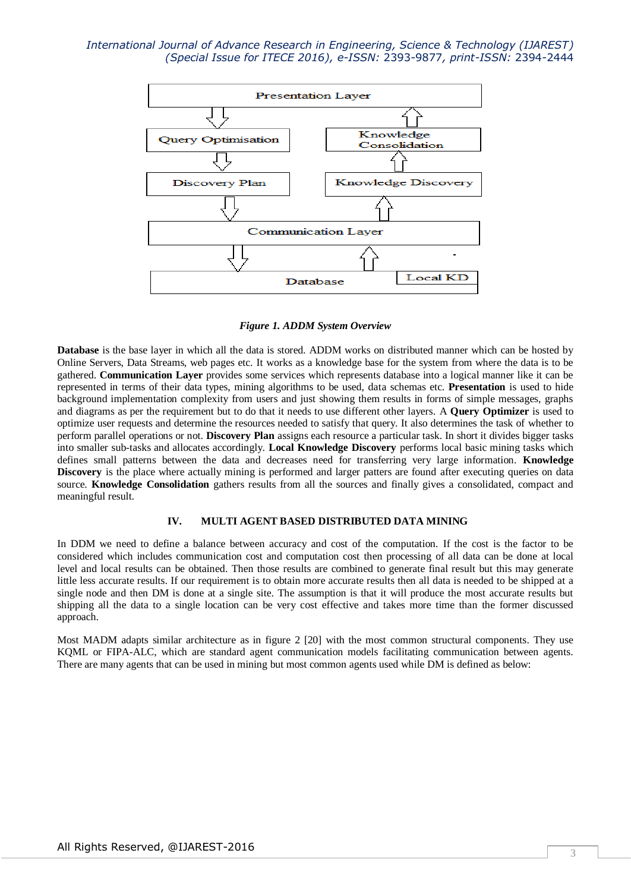

*Figure 1. ADDM System Overview*

**Database** is the base layer in which all the data is stored. ADDM works on distributed manner which can be hosted by Online Servers, Data Streams, web pages etc. It works as a knowledge base for the system from where the data is to be gathered. **Communication Layer** provides some services which represents database into a logical manner like it can be represented in terms of their data types, mining algorithms to be used, data schemas etc. **Presentation** is used to hide background implementation complexity from users and just showing them results in forms of simple messages, graphs and diagrams as per the requirement but to do that it needs to use different other layers. A **Query Optimizer** is used to optimize user requests and determine the resources needed to satisfy that query. It also determines the task of whether to perform parallel operations or not. **Discovery Plan** assigns each resource a particular task. In short it divides bigger tasks into smaller sub-tasks and allocates accordingly. **Local Knowledge Discovery** performs local basic mining tasks which defines small patterns between the data and decreases need for transferring very large information. **Knowledge Discovery** is the place where actually mining is performed and larger patters are found after executing queries on data source. **Knowledge Consolidation** gathers results from all the sources and finally gives a consolidated, compact and meaningful result.

#### **IV. MULTI AGENT BASED DISTRIBUTED DATA MINING**

In DDM we need to define a balance between accuracy and cost of the computation. If the cost is the factor to be considered which includes communication cost and computation cost then processing of all data can be done at local level and local results can be obtained. Then those results are combined to generate final result but this may generate little less accurate results. If our requirement is to obtain more accurate results then all data is needed to be shipped at a single node and then DM is done at a single site. The assumption is that it will produce the most accurate results but shipping all the data to a single location can be very cost effective and takes more time than the former discussed approach.

Most MADM adapts similar architecture as in figure 2 [20] with the most common structural components. They use KQML or FIPA-ALC, which are standard agent communication models facilitating communication between agents. There are many agents that can be used in mining but most common agents used while DM is defined as below: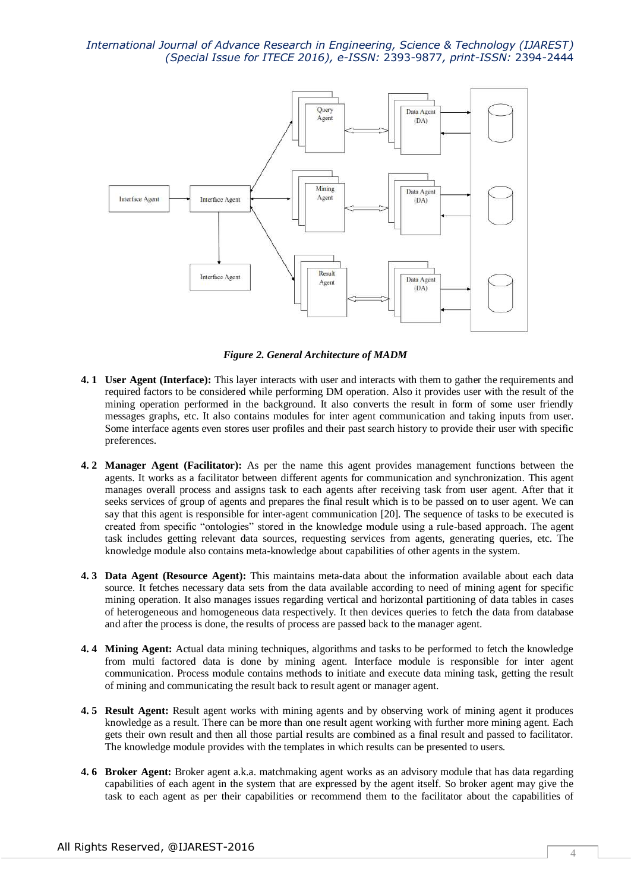

*Figure 2. General Architecture of MADM*

- **4. 1 User Agent (Interface):** This layer interacts with user and interacts with them to gather the requirements and required factors to be considered while performing DM operation. Also it provides user with the result of the mining operation performed in the background. It also converts the result in form of some user friendly messages graphs, etc. It also contains modules for inter agent communication and taking inputs from user. Some interface agents even stores user profiles and their past search history to provide their user with specific preferences.
- **4. 2 Manager Agent (Facilitator):** As per the name this agent provides management functions between the agents. It works as a facilitator between different agents for communication and synchronization. This agent manages overall process and assigns task to each agents after receiving task from user agent. After that it seeks services of group of agents and prepares the final result which is to be passed on to user agent. We can say that this agent is responsible for inter-agent communication [20]. The sequence of tasks to be executed is created from specific "ontologies" stored in the knowledge module using a rule-based approach. The agent task includes getting relevant data sources, requesting services from agents, generating queries, etc. The knowledge module also contains meta-knowledge about capabilities of other agents in the system.
- **4. 3 Data Agent (Resource Agent):** This maintains meta-data about the information available about each data source. It fetches necessary data sets from the data available according to need of mining agent for specific mining operation. It also manages issues regarding vertical and horizontal partitioning of data tables in cases of heterogeneous and homogeneous data respectively. It then devices queries to fetch the data from database and after the process is done, the results of process are passed back to the manager agent.
- **4. 4 Mining Agent:** Actual data mining techniques, algorithms and tasks to be performed to fetch the knowledge from multi factored data is done by mining agent. Interface module is responsible for inter agent communication. Process module contains methods to initiate and execute data mining task, getting the result of mining and communicating the result back to result agent or manager agent.
- **4. 5 Result Agent:** Result agent works with mining agents and by observing work of mining agent it produces knowledge as a result. There can be more than one result agent working with further more mining agent. Each gets their own result and then all those partial results are combined as a final result and passed to facilitator. The knowledge module provides with the templates in which results can be presented to users.
- **4. 6 Broker Agent:** Broker agent a.k.a. matchmaking agent works as an advisory module that has data regarding capabilities of each agent in the system that are expressed by the agent itself. So broker agent may give the task to each agent as per their capabilities or recommend them to the facilitator about the capabilities of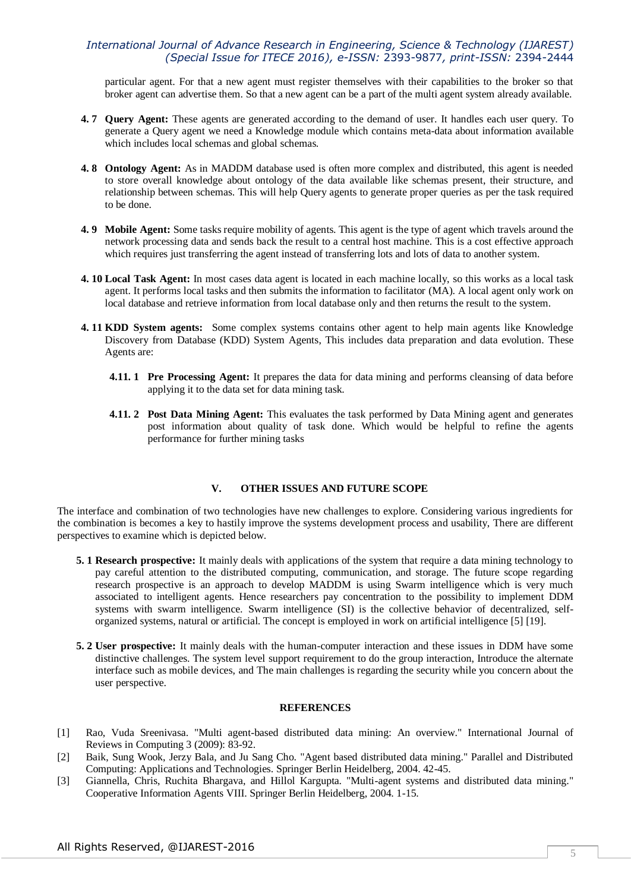particular agent. For that a new agent must register themselves with their capabilities to the broker so that broker agent can advertise them. So that a new agent can be a part of the multi agent system already available.

- **4. 7 Query Agent:** These agents are generated according to the demand of user. It handles each user query. To generate a Query agent we need a Knowledge module which contains meta-data about information available which includes local schemas and global schemas.
- **4. 8 Ontology Agent:** As in MADDM database used is often more complex and distributed, this agent is needed to store overall knowledge about ontology of the data available like schemas present, their structure, and relationship between schemas. This will help Query agents to generate proper queries as per the task required to be done.
- **4. 9 Mobile Agent:** Some tasks require mobility of agents. This agent is the type of agent which travels around the network processing data and sends back the result to a central host machine. This is a cost effective approach which requires just transferring the agent instead of transferring lots and lots of data to another system.
- **4. 10 Local Task Agent:** In most cases data agent is located in each machine locally, so this works as a local task agent. It performs local tasks and then submits the information to facilitator (MA). A local agent only work on local database and retrieve information from local database only and then returns the result to the system.
- **4. 11 KDD System agents:** Some complex systems contains other agent to help main agents like Knowledge Discovery from Database (KDD) System Agents, This includes data preparation and data evolution. These Agents are:
	- **4.11. 1 Pre Processing Agent:** It prepares the data for data mining and performs cleansing of data before applying it to the data set for data mining task.
	- **4.11. 2 Post Data Mining Agent:** This evaluates the task performed by Data Mining agent and generates post information about quality of task done. Which would be helpful to refine the agents performance for further mining tasks

#### **V. OTHER ISSUES AND FUTURE SCOPE**

The interface and combination of two technologies have new challenges to explore. Considering various ingredients for the combination is becomes a key to hastily improve the systems development process and usability, There are different perspectives to examine which is depicted below.

- **5. 1 Research prospective:** It mainly deals with applications of the system that require a data mining technology to pay careful attention to the distributed computing, communication, and storage. The future scope regarding research prospective is an approach to develop MADDM is using Swarm intelligence which is very much associated to intelligent agents. Hence researchers pay concentration to the possibility to implement DDM systems with swarm intelligence. Swarm intelligence (SI) is the collective behavior of decentralized, selforganized systems, natural or artificial. The concept is employed in work on artificial intelligence [5] [19].
- **5. 2 User prospective:** It mainly deals with the human-computer interaction and these issues in DDM have some distinctive challenges. The system level support requirement to do the group interaction, Introduce the alternate interface such as mobile devices, and The main challenges is regarding the security while you concern about the user perspective.

#### **REFERENCES**

- [1] Rao, Vuda Sreenivasa. "Multi agent-based distributed data mining: An overview." International Journal of Reviews in Computing 3 (2009): 83-92.
- [2] Baik, Sung Wook, Jerzy Bala, and Ju Sang Cho. "Agent based distributed data mining." Parallel and Distributed Computing: Applications and Technologies. Springer Berlin Heidelberg, 2004. 42-45.
- [3] Giannella, Chris, Ruchita Bhargava, and Hillol Kargupta. "Multi-agent systems and distributed data mining." Cooperative Information Agents VIII. Springer Berlin Heidelberg, 2004. 1-15.